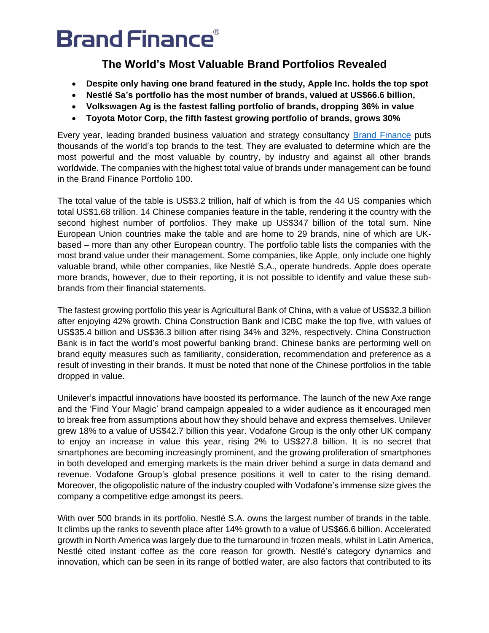### **The World's Most Valuable Brand Portfolios Revealed**

- **Despite only having one brand featured in the study, Apple Inc. holds the top spot**
- **Nestlé Sa's portfolio has the most number of brands, valued at US\$66.6 billion,**
- **Volkswagen Ag is the fastest falling portfolio of brands, dropping 36% in value**
- **Toyota Motor Corp, the fifth fastest growing portfolio of brands, grows 30%**

Every year, leading branded business valuation and strategy consultancy [Brand Finance](http://www.brandfinance.com/) puts thousands of the world's top brands to the test. They are evaluated to determine which are the most powerful and the most valuable by country, by industry and against all other brands worldwide. The companies with the highest total value of brands under management can be found in the Brand Finance Portfolio 100.

The total value of the table is US\$3.2 trillion, half of which is from the 44 US companies which total US\$1.68 trillion. 14 Chinese companies feature in the table, rendering it the country with the second highest number of portfolios. They make up US\$347 billion of the total sum. Nine European Union countries make the table and are home to 29 brands, nine of which are UKbased – more than any other European country. The portfolio table lists the companies with the most brand value under their management. Some companies, like Apple, only include one highly valuable brand, while other companies, like Nestlé S.A., operate hundreds. Apple does operate more brands, however, due to their reporting, it is not possible to identify and value these subbrands from their financial statements.

The fastest growing portfolio this year is Agricultural Bank of China, with a value of US\$32.3 billion after enjoying 42% growth. China Construction Bank and ICBC make the top five, with values of US\$35.4 billion and US\$36.3 billion after rising 34% and 32%, respectively. China Construction Bank is in fact the world's most powerful banking brand. Chinese banks are performing well on brand equity measures such as familiarity, consideration, recommendation and preference as a result of investing in their brands. It must be noted that none of the Chinese portfolios in the table dropped in value.

Unilever's impactful innovations have boosted its performance. The launch of the new Axe range and the 'Find Your Magic' brand campaign appealed to a wider audience as it encouraged men to break free from assumptions about how they should behave and express themselves. Unilever grew 18% to a value of US\$42.7 billion this year. Vodafone Group is the only other UK company to enjoy an increase in value this year, rising 2% to US\$27.8 billion. It is no secret that smartphones are becoming increasingly prominent, and the growing proliferation of smartphones in both developed and emerging markets is the main driver behind a surge in data demand and revenue. Vodafone Group's global presence positions it well to cater to the rising demand. Moreover, the oligopolistic nature of the industry coupled with Vodafone's immense size gives the company a competitive edge amongst its peers.

With over 500 brands in its portfolio, Nestlé S.A. owns the largest number of brands in the table. It climbs up the ranks to seventh place after 14% growth to a value of US\$66.6 billion. Accelerated growth in North America was largely due to the turnaround in frozen meals, whilst in Latin America, Nestlé cited instant coffee as the core reason for growth. Nestlé's category dynamics and innovation, which can be seen in its range of bottled water, are also factors that contributed to its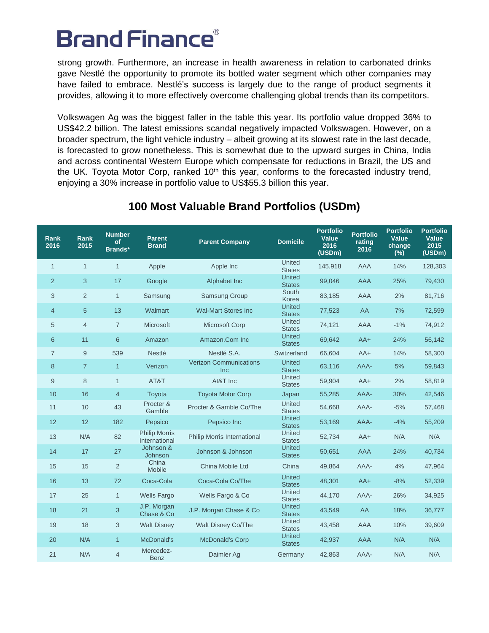strong growth. Furthermore, an increase in health awareness in relation to carbonated drinks gave Nestlé the opportunity to promote its bottled water segment which other companies may have failed to embrace. Nestlé's success is largely due to the range of product segments it provides, allowing it to more effectively overcome challenging global trends than its competitors.

Volkswagen Ag was the biggest faller in the table this year. Its portfolio value dropped 36% to US\$42.2 billion. The latest emissions scandal negatively impacted Volkswagen. However, on a broader spectrum, the light vehicle industry – albeit growing at its slowest rate in the last decade, is forecasted to grow nonetheless. This is somewhat due to the upward surges in China, India and across continental Western Europe which compensate for reductions in Brazil, the US and the UK. Toyota Motor Corp, ranked 10<sup>th</sup> this year, conforms to the forecasted industry trend, enjoying a 30% increase in portfolio value to US\$55.3 billion this year.

| <b>Rank</b><br>2016 | Rank<br>2015   | <b>Number</b><br>of<br>Brands* | <b>Parent</b><br><b>Brand</b>         | <b>Parent Company</b>                | <b>Domicile</b>                | <b>Portfolio</b><br>Value<br>2016<br>(USDm) | <b>Portfolio</b><br>rating<br>2016 | <b>Portfolio</b><br>Value<br>change<br>$(\%)$ | <b>Portfolio</b><br><b>Value</b><br>2015<br>(USDm) |
|---------------------|----------------|--------------------------------|---------------------------------------|--------------------------------------|--------------------------------|---------------------------------------------|------------------------------------|-----------------------------------------------|----------------------------------------------------|
| $\mathbf{1}$        | $\mathbf{1}$   | $\mathbf{1}$                   | Apple                                 | Apple Inc                            | United<br><b>States</b>        | 145,918                                     | <b>AAA</b>                         | 14%                                           | 128,303                                            |
| 2                   | 3              | 17                             | Google                                | Alphabet Inc                         | <b>United</b><br><b>States</b> | 99,046                                      | <b>AAA</b>                         | 25%                                           | 79,430                                             |
| 3                   | $\overline{2}$ | $\mathbf{1}$                   | Samsung                               | <b>Samsung Group</b>                 | South<br>Korea                 | 83,185                                      | AAA                                | 2%                                            | 81,716                                             |
| $\overline{4}$      | 5              | 13                             | Walmart                               | <b>Wal-Mart Stores Inc.</b>          | <b>United</b><br><b>States</b> | 77,523                                      | AA                                 | 7%                                            | 72,599                                             |
| 5                   | $\overline{4}$ | $\overline{7}$                 | Microsoft                             | Microsoft Corp                       | United<br><b>States</b>        | 74,121                                      | AAA                                | $-1%$                                         | 74,912                                             |
| 6                   | 11             | 6                              | Amazon                                | Amazon.Com Inc                       | <b>United</b><br><b>States</b> | 69,642                                      | $AA+$                              | 24%                                           | 56,142                                             |
| $\overline{7}$      | 9              | 539                            | Nestlé                                | Nestlé S.A.                          | Switzerland                    | 66,604                                      | $AA+$                              | 14%                                           | 58,300                                             |
| $\boldsymbol{8}$    | $\overline{7}$ | $\mathbf{1}$                   | Verizon                               | <b>Verizon Communications</b><br>Inc | <b>United</b><br><b>States</b> | 63,116                                      | AAA-                               | 5%                                            | 59,843                                             |
| 9                   | 8              | $\mathbf{1}$                   | AT&T                                  | At&T Inc                             | United<br><b>States</b>        | 59,904                                      | $AA+$                              | 2%                                            | 58,819                                             |
| 10                  | 16             | $\overline{4}$                 | Toyota                                | <b>Toyota Motor Corp</b>             | Japan                          | 55,285                                      | AAA-                               | 30%                                           | 42,546                                             |
| 11                  | 10             | 43                             | Procter &<br>Gamble                   | Procter & Gamble Co/The              | United<br><b>States</b>        | 54,668                                      | AAA-                               | $-5%$                                         | 57,468                                             |
| 12                  | 12             | 182                            | Pepsico                               | Pepsico Inc                          | <b>United</b><br><b>States</b> | 53,169                                      | AAA-                               | $-4%$                                         | 55,209                                             |
| 13                  | N/A            | 82                             | <b>Philip Morris</b><br>International | Philip Morris International          | <b>United</b><br><b>States</b> | 52,734                                      | $AA+$                              | N/A                                           | N/A                                                |
| 14                  | 17             | 27                             | Johnson &<br>Johnson                  | Johnson & Johnson                    | <b>United</b><br><b>States</b> | 50,651                                      | <b>AAA</b>                         | 24%                                           | 40,734                                             |
| 15                  | 15             | $\overline{2}$                 | China<br>Mobile                       | China Mobile Ltd                     | China                          | 49,864                                      | AAA-                               | 4%                                            | 47,964                                             |
| 16                  | 13             | 72                             | Coca-Cola                             | Coca-Cola Co/The                     | <b>United</b><br><b>States</b> | 48,301                                      | $AA+$                              | $-8%$                                         | 52,339                                             |
| 17                  | 25             | $\mathbf{1}$                   | <b>Wells Fargo</b>                    | Wells Fargo & Co                     | United<br><b>States</b>        | 44,170                                      | AAA-                               | 26%                                           | 34,925                                             |
| 18                  | 21             | 3                              | J.P. Morgan<br>Chase & Co             | J.P. Morgan Chase & Co.              | <b>United</b><br><b>States</b> | 43,549                                      | AA                                 | 18%                                           | 36,777                                             |
| 19                  | 18             | 3                              | <b>Walt Disney</b>                    | <b>Walt Disney Co/The</b>            | United<br><b>States</b>        | 43,458                                      | AAA                                | 10%                                           | 39,609                                             |
| 20                  | N/A            | $\mathbf{1}$                   | McDonald's                            | <b>McDonald's Corp</b>               | <b>United</b><br><b>States</b> | 42,937                                      | <b>AAA</b>                         | N/A                                           | N/A                                                |
| 21                  | N/A            | 4                              | Mercedez-<br><b>Benz</b>              | Daimler Ag                           | Germany                        | 42,863                                      | AAA-                               | N/A                                           | N/A                                                |

### **100 Most Valuable Brand Portfolios (USDm)**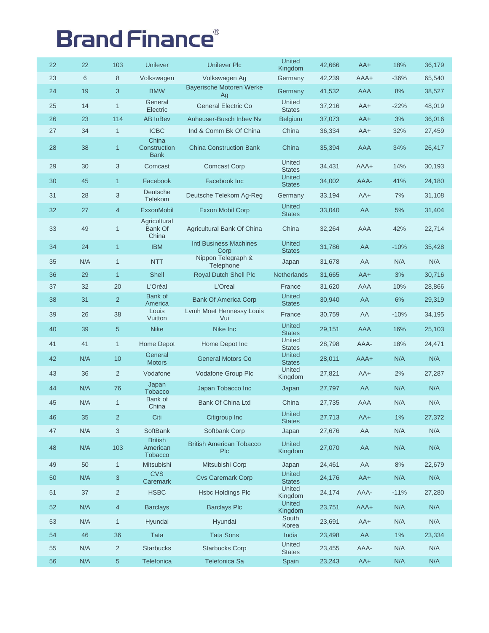| 22 | 22  | 103            | <b>Unilever</b>                              | <b>Unilever Plc</b>                           | <b>United</b><br>Kingdom       | 42,666 | $AA+$      | 18%    | 36,179 |
|----|-----|----------------|----------------------------------------------|-----------------------------------------------|--------------------------------|--------|------------|--------|--------|
| 23 | 6   | 8              | Volkswagen                                   | Volkswagen Ag                                 | Germany                        | 42,239 | AAA+       | $-36%$ | 65,540 |
| 24 | 19  | 3              | <b>BMW</b>                                   | <b>Bayerische Motoren Werke</b><br>Ag         | Germany                        | 41,532 | AAA        | 8%     | 38,527 |
| 25 | 14  | $\mathbf{1}$   | General<br>Electric                          | <b>General Electric Co</b>                    | United<br><b>States</b>        | 37,216 | $AA+$      | $-22%$ | 48,019 |
| 26 | 23  | 114            | <b>AB InBev</b>                              | Anheuser-Busch Inbev Nv                       | <b>Belgium</b>                 | 37,073 | $AA+$      | 3%     | 36,016 |
| 27 | 34  | $\mathbf{1}$   | <b>ICBC</b>                                  | Ind & Comm Bk Of China                        | China                          | 36,334 | $AA+$      | 32%    | 27,459 |
| 28 | 38  | $\mathbf{1}$   | China<br>Construction<br><b>Bank</b>         | <b>China Construction Bank</b>                | China                          | 35,394 | <b>AAA</b> | 34%    | 26,417 |
| 29 | 30  | 3              | Comcast                                      | <b>Comcast Corp</b>                           | <b>United</b><br><b>States</b> | 34,431 | AAA+       | 14%    | 30,193 |
| 30 | 45  | $\mathbf{1}$   | Facebook                                     | Facebook Inc                                  | <b>United</b><br><b>States</b> | 34,002 | AAA-       | 41%    | 24,180 |
| 31 | 28  | 3              | Deutsche<br>Telekom                          | Deutsche Telekom Ag-Reg                       | Germany                        | 33,194 | $AA+$      | 7%     | 31,108 |
| 32 | 27  | 4              | <b>ExxonMobil</b>                            | Exxon Mobil Corp                              | <b>United</b><br><b>States</b> | 33,040 | AA         | 5%     | 31,404 |
| 33 | 49  | $\mathbf{1}$   | Agricultural<br>Bank Of<br>China             | Agricultural Bank Of China                    | China                          | 32,264 | AAA        | 42%    | 22,714 |
| 34 | 24  | $\mathbf{1}$   | <b>IBM</b>                                   | <b>Intl Business Machines</b><br>Corp         | <b>United</b><br><b>States</b> | 31,786 | AA         | $-10%$ | 35,428 |
| 35 | N/A | $\mathbf{1}$   | <b>NTT</b>                                   | Nippon Telegraph &<br>Telephone               | Japan                          | 31,678 | AA         | N/A    | N/A    |
| 36 | 29  | $\mathbf{1}$   | Shell                                        | <b>Royal Dutch Shell Plc</b>                  | Netherlands                    | 31,665 | $AA+$      | 3%     | 30,716 |
| 37 | 32  | 20             | L'Oréal                                      | L'Oreal                                       | France                         | 31,620 | AAA        | 10%    | 28,866 |
| 38 | 31  | $\overline{2}$ | Bank of<br>America                           | <b>Bank Of America Corp</b>                   | <b>United</b><br><b>States</b> | 30,940 | AA         | 6%     | 29,319 |
| 39 | 26  | 38             | Louis<br>Vuitton                             | Lvmh Moet Hennessy Louis<br>Vui               | France                         | 30,759 | AA         | $-10%$ | 34,195 |
| 40 | 39  | 5              | <b>Nike</b>                                  | Nike Inc                                      | <b>United</b><br><b>States</b> | 29,151 | AAA        | 16%    | 25,103 |
| 41 | 41  | $\mathbf{1}$   | Home Depot                                   | Home Depot Inc                                | United<br><b>States</b>        | 28,798 | AAA-       | 18%    | 24,471 |
| 42 | N/A | 10             | General<br><b>Motors</b>                     | <b>General Motors Co</b>                      | <b>United</b><br><b>States</b> | 28,011 | AAA+       | N/A    | N/A    |
| 43 | 36  | $\overline{2}$ | Vodafone                                     | Vodafone Group Plc                            | United<br>Kingdom              | 27,821 | $AA+$      | 2%     | 27,287 |
| 44 | N/A | 76             | Japan<br><b>Tobacco</b>                      | Japan Tobacco Inc                             | Japan                          | 27,797 | AA         | N/A    | N/A    |
| 45 | N/A | 1              | Bank of<br>China                             | Bank Of China Ltd                             | China                          | 27,735 | AAA        | N/A    | N/A    |
| 46 | 35  | $\overline{2}$ | Citi                                         | Citigroup Inc                                 | United<br><b>States</b>        | 27,713 | $AA+$      | 1%     | 27,372 |
| 47 | N/A | 3              | SoftBank                                     | Softbank Corp                                 | Japan                          | 27,676 | AA         | N/A    | N/A    |
| 48 | N/A | 103            | <b>British</b><br>American<br><b>Tobacco</b> | <b>British American Tobacco</b><br><b>PIc</b> | <b>United</b><br>Kingdom       | 27,070 | AA         | N/A    | N/A    |
| 49 | 50  | $\mathbf{1}$   | Mitsubishi                                   | Mitsubishi Corp                               | Japan                          | 24,461 | AA         | 8%     | 22,679 |
| 50 | N/A | 3              | <b>CVS</b><br>Caremark                       | <b>Cvs Caremark Corp</b>                      | <b>United</b><br><b>States</b> | 24,176 | $AA+$      | N/A    | N/A    |
| 51 | 37  | $\overline{2}$ | <b>HSBC</b>                                  | <b>Hsbc Holdings Plc</b>                      | United<br>Kingdom              | 24,174 | AAA-       | $-11%$ | 27,280 |
| 52 | N/A | $\overline{4}$ | <b>Barclays</b>                              | <b>Barclays Plc</b>                           | United<br>Kingdom              | 23,751 | AAA+       | N/A    | N/A    |
| 53 | N/A | $\mathbf{1}$   | Hyundai                                      | Hyundai                                       | South<br>Korea                 | 23,691 | $AA+$      | N/A    | N/A    |
| 54 | 46  | 36             | <b>Tata</b>                                  | <b>Tata Sons</b>                              | India                          | 23,498 | AA         | 1%     | 23,334 |
| 55 | N/A | $\overline{c}$ | <b>Starbucks</b>                             | <b>Starbucks Corp</b>                         | United<br><b>States</b>        | 23,455 | AAA-       | N/A    | N/A    |
| 56 | N/A | $\sqrt{5}$     | Telefonica                                   | Telefonica Sa                                 | Spain                          | 23,243 | $AA+$      | N/A    | N/A    |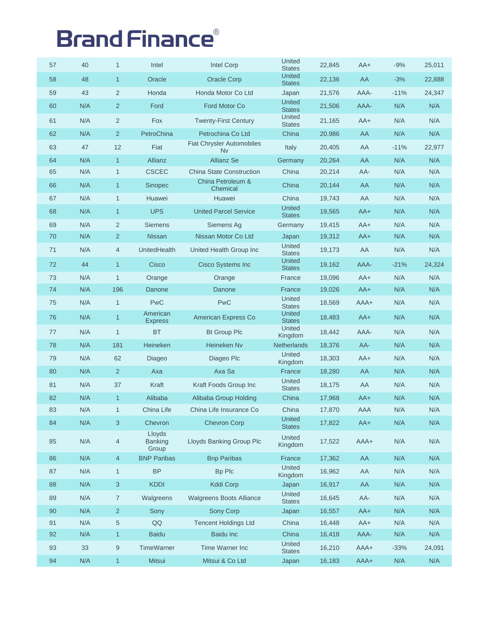| 57 | 40  | $\mathbf{1}$     | Intel                             | <b>Intel Corp</b>                      | United<br><b>States</b>        | 22,845 | $AA+$ | $-9%$  | 25,011 |
|----|-----|------------------|-----------------------------------|----------------------------------------|--------------------------------|--------|-------|--------|--------|
| 58 | 48  | $\mathbf{1}$     | Oracle                            | <b>Oracle Corp</b>                     | <b>United</b><br><b>States</b> | 22,136 | AA    | $-3%$  | 22,888 |
| 59 | 43  | $\overline{2}$   | Honda                             | Honda Motor Co Ltd                     | Japan                          | 21,576 | AAA-  | $-11%$ | 24,347 |
| 60 | N/A | $\overline{2}$   | Ford                              | Ford Motor Co                          | <b>United</b><br><b>States</b> | 21,506 | AAA-  | N/A    | N/A    |
| 61 | N/A | $\overline{2}$   | <b>Fox</b>                        | <b>Twenty-First Century</b>            | United<br><b>States</b>        | 21,165 | $AA+$ | N/A    | N/A    |
| 62 | N/A | $\overline{2}$   | PetroChina                        | Petrochina Co Ltd                      | China                          | 20,986 | AA    | N/A    | N/A    |
| 63 | 47  | 12               | Fiat                              | <b>Fiat Chrysler Automobiles</b><br>Nv | Italy                          | 20,405 | AA    | $-11%$ | 22,977 |
| 64 | N/A | $\mathbf{1}$     | Allianz                           | <b>Allianz Se</b>                      | Germany                        | 20,264 | AA    | N/A    | N/A    |
| 65 | N/A | $\mathbf{1}$     | <b>CSCEC</b>                      | <b>China State Construction</b>        | China                          | 20,214 | AA-   | N/A    | N/A    |
| 66 | N/A | $\mathbf{1}$     | <b>Sinopec</b>                    | China Petroleum &<br>Chemical          | China                          | 20,144 | AA    | N/A    | N/A    |
| 67 | N/A | $\mathbf{1}$     | Huawei                            | Huawei                                 | China                          | 19,743 | AA    | N/A    | N/A    |
| 68 | N/A | $\mathbf{1}$     | <b>UPS</b>                        | <b>United Parcel Service</b>           | <b>United</b><br><b>States</b> | 19,565 | $AA+$ | N/A    | N/A    |
| 69 | N/A | $\overline{2}$   | <b>Siemens</b>                    | Siemens Ag                             | Germany                        | 19,415 | $AA+$ | N/A    | N/A    |
| 70 | N/A | $\overline{2}$   | <b>Nissan</b>                     | Nissan Motor Co Ltd                    | Japan                          | 19,312 | $AA+$ | N/A    | N/A    |
| 71 | N/A | 4                | UnitedHealth                      | United Health Group Inc                | United<br><b>States</b>        | 19,173 | AA    | N/A    | N/A    |
| 72 | 44  | $\mathbf{1}$     | Cisco                             | <b>Cisco Systems Inc</b>               | <b>United</b><br><b>States</b> | 19,162 | AAA-  | $-21%$ | 24,324 |
| 73 | N/A | $\mathbf{1}$     | Orange                            | Orange                                 | France                         | 19,096 | $AA+$ | N/A    | N/A    |
| 74 | N/A | 196              | Danone                            | Danone                                 | France                         | 19,026 | $AA+$ | N/A    | N/A    |
| 75 | N/A | $\mathbf{1}$     | <b>PwC</b>                        | <b>PwC</b>                             | United<br><b>States</b>        | 18,569 | AAA+  | N/A    | N/A    |
| 76 | N/A | $\mathbf{1}$     | American<br><b>Express</b>        | American Express Co                    | <b>United</b><br><b>States</b> | 18,483 | $AA+$ | N/A    | N/A    |
| 77 | N/A | $\mathbf{1}$     | <b>BT</b>                         | <b>Bt Group Plc</b>                    | United<br>Kingdom              | 18,442 | AAA-  | N/A    | N/A    |
| 78 | N/A | 181              | Heineken                          | Heineken Nv                            | Netherlands                    | 18,376 | AA-   | N/A    | N/A    |
| 79 | N/A | 62               | Diageo                            | Diageo Plc                             | United<br>Kingdom              | 18,303 | $AA+$ | N/A    | N/A    |
| 80 | N/A | $\overline{2}$   | Axa                               | Axa Sa                                 | France                         | 18,280 | AA    | N/A    | N/A    |
| 81 | N/A | 37               | Kraft                             | Kraft Foods Group Inc                  | United<br><b>States</b>        | 18,175 | AA    | N/A    | N/A    |
| 82 | N/A | $\mathbf{1}$     | Alibaba                           | Alibaba Group Holding                  | China                          | 17,968 | $AA+$ | N/A    | N/A    |
| 83 | N/A | $\mathbf{1}$     | China Life                        | China Life Insurance Co                | China                          | 17,870 | AAA   | N/A    | N/A    |
| 84 | N/A | $\mathbf{3}$     | Chevron                           | <b>Chevron Corp</b>                    | United<br><b>States</b>        | 17,822 | $AA+$ | N/A    | N/A    |
| 85 | N/A | $\overline{4}$   | Lloyds<br><b>Banking</b><br>Group | Lloyds Banking Group Plc               | United<br>Kingdom              | 17,522 | AAA+  | N/A    | N/A    |
| 86 | N/A | $\overline{4}$   | <b>BNP Paribas</b>                | <b>Bnp Paribas</b>                     | France                         | 17,362 | AA    | N/A    | N/A    |
| 87 | N/A | $\mathbf{1}$     | <b>BP</b>                         | Bp Plc                                 | United<br>Kingdom              | 16,962 | AA    | N/A    | N/A    |
| 88 | N/A | 3                | <b>KDDI</b>                       | <b>Kddi Corp</b>                       | Japan                          | 16,917 | AA    | N/A    | N/A    |
| 89 | N/A | $\overline{7}$   | Walgreens                         | <b>Walgreens Boots Alliance</b>        | United<br><b>States</b>        | 16,645 | AA-   | N/A    | N/A    |
| 90 | N/A | $\overline{2}$   | Sony                              | <b>Sony Corp</b>                       | Japan                          | 16,557 | $AA+$ | N/A    | N/A    |
| 91 | N/A | $\overline{5}$   | QQ                                | <b>Tencent Holdings Ltd</b>            | China                          | 16,448 | $AA+$ | N/A    | N/A    |
| 92 | N/A | $\mathbf{1}$     | <b>Baidu</b>                      | <b>Baidu Inc</b>                       | China                          | 16,418 | AAA-  | N/A    | N/A    |
| 93 | 33  | $\boldsymbol{9}$ | TimeWarner                        | Time Warner Inc                        | United<br><b>States</b>        | 16,210 | AAA+  | $-33%$ | 24,091 |
| 94 | N/A | $\mathbf{1}$     | Mitsui                            | Mitsui & Co Ltd                        | Japan                          | 16,183 | AAA+  | N/A    | N/A    |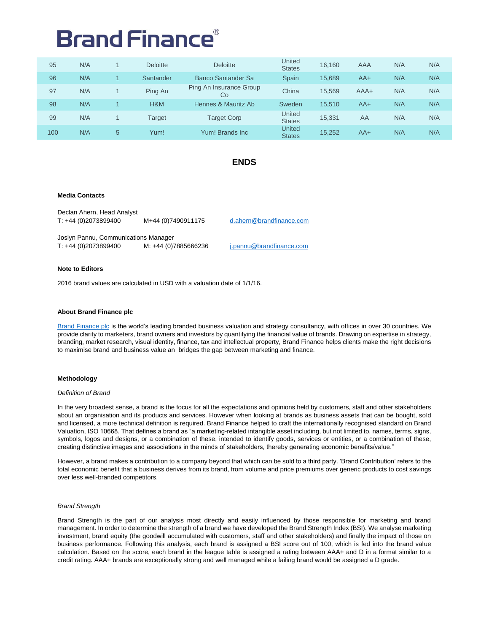| 95  | N/A |                | <b>Deloitte</b> | <b>Deloitte</b>               | United<br><b>States</b>        | 16,160 | AAA    | N/A | N/A |
|-----|-----|----------------|-----------------|-------------------------------|--------------------------------|--------|--------|-----|-----|
| 96  | N/A |                | Santander       | Banco Santander Sa            | <b>Spain</b>                   | 15.689 | $AA+$  | N/A | N/A |
| 97  | N/A |                | Ping An         | Ping An Insurance Group<br>Co | China                          | 15.569 | $AAA+$ | N/A | N/A |
| 98  | N/A |                | H&M             | Hennes & Mauritz Ab           | Sweden                         | 15.510 | $AA+$  | N/A | N/A |
| 99  | N/A |                | Target          | <b>Target Corp</b>            | United<br><b>States</b>        | 15,331 | AA     | N/A | N/A |
| 100 | N/A | $5\phantom{.}$ | Yum!            | Yum! Brands Inc               | <b>United</b><br><b>States</b> | 15,252 | $AA+$  | N/A | N/A |

#### **ENDS**

#### **Media Contacts**

Declan Ahern, Head Analyst T: +44 (0)2073899400 M+44 (0)7490911175 [d.ahern@brandfinance.com](mailto:d.ahern@brandfinance.com)

Joslyn Pannu, Communications Manager<br>T: +44 (0)2073899400 M: +44 (0)7885666236 T: +44 (0)2073899400 M: +44 (0)7885666236 j.pannu@brandfinance.com

#### **Note to Editors**

2016 brand values are calculated in USD with a valuation date of 1/1/16.

#### **About Brand Finance plc**

[Brand Finance](http://www.brandfinance.com/) plc is the world's leading branded business valuation and strategy consultancy, with offices in over 30 countries. We provide clarity to marketers, brand owners and investors by quantifying the financial value of brands. Drawing on expertise in strategy, branding, market research, visual identity, finance, tax and intellectual property, Brand Finance helps clients make the right decisions to maximise brand and business value an bridges the gap between marketing and finance.

#### **Methodology**

#### *Definition of Brand*

In the very broadest sense, a brand is the focus for all the expectations and opinions held by customers, staff and other stakeholders about an organisation and its products and services. However when looking at brands as business assets that can be bought, sold and licensed, a more technical definition is required. Brand Finance helped to craft the internationally recognised standard on Brand Valuation, ISO 10668. That defines a brand as "a marketing-related intangible asset including, but not limited to, names, terms, signs, symbols, logos and designs, or a combination of these, intended to identify goods, services or entities, or a combination of these, creating distinctive images and associations in the minds of stakeholders, thereby generating economic benefits/value."

However, a brand makes a contribution to a company beyond that which can be sold to a third party. 'Brand Contribution' refers to the total economic benefit that a business derives from its brand, from volume and price premiums over generic products to cost savings over less well-branded competitors.

#### *Brand Strength*

Brand Strength is the part of our analysis most directly and easily influenced by those responsible for marketing and brand management. In order to determine the strength of a brand we have developed the Brand Strength Index (BSI). We analyse marketing investment, brand equity (the goodwill accumulated with customers, staff and other stakeholders) and finally the impact of those on business performance. Following this analysis, each brand is assigned a BSI score out of 100, which is fed into the brand value calculation. Based on the score, each brand in the league table is assigned a rating between AAA+ and D in a format similar to a credit rating. AAA+ brands are exceptionally strong and well managed while a failing brand would be assigned a D grade.